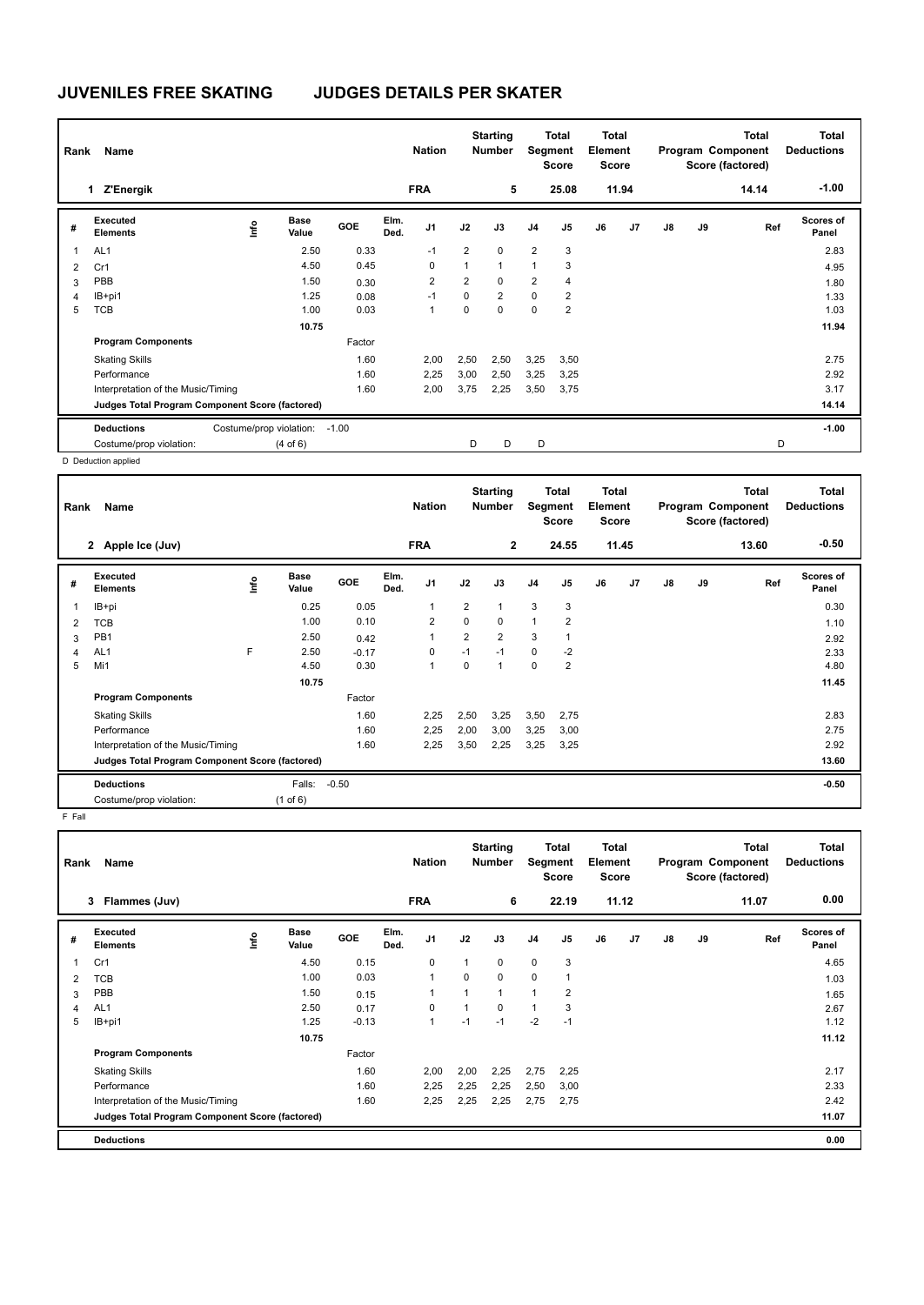# **JUVENILES FREE SKATING JUDGES DETAILS PER SKATER**

| Rank | Name                                            |                              |         |              | <b>Nation</b>  |                | <b>Starting</b><br><b>Number</b> | Segment        | Total<br><b>Score</b> | <b>Total</b><br>Element<br><b>Score</b> |                |    |    | <b>Total</b><br>Program Component<br>Score (factored) | <b>Total</b><br><b>Deductions</b> |
|------|-------------------------------------------------|------------------------------|---------|--------------|----------------|----------------|----------------------------------|----------------|-----------------------|-----------------------------------------|----------------|----|----|-------------------------------------------------------|-----------------------------------|
|      | Z'Energik                                       |                              |         | <b>FRA</b>   |                |                | 5                                |                | 25.08                 |                                         | 11.94          |    |    | 14.14                                                 | $-1.00$                           |
| #    | Executed<br><b>Elements</b>                     | <b>Base</b><br>١nto<br>Value | GOE     | Elm.<br>Ded. | J <sub>1</sub> | J2             | J3                               | J <sub>4</sub> | J5                    | J6                                      | J <sub>7</sub> | J8 | J9 | Ref                                                   | <b>Scores of</b><br>Panel         |
| 1    | AL <sub>1</sub>                                 | 2.50                         | 0.33    |              | $-1$           | $\overline{2}$ | $\mathbf 0$                      | $\overline{2}$ | 3                     |                                         |                |    |    |                                                       | 2.83                              |
| 2    | Cr1                                             | 4.50                         | 0.45    |              | 0              | 1              | $\mathbf{1}$                     | $\mathbf{1}$   | 3                     |                                         |                |    |    |                                                       | 4.95                              |
| 3    | PBB                                             | 1.50                         | 0.30    |              | 2              | $\overline{2}$ | 0                                | $\overline{2}$ | 4                     |                                         |                |    |    |                                                       | 1.80                              |
| 4    | IB+pi1                                          | 1.25                         | 0.08    |              | $-1$           | 0              | $\overline{2}$                   | $\mathbf 0$    | 2                     |                                         |                |    |    |                                                       | 1.33                              |
| 5    | <b>TCB</b>                                      | 1.00                         | 0.03    |              | 1              | 0              | $\mathbf 0$                      | $\pmb{0}$      | 2                     |                                         |                |    |    |                                                       | 1.03                              |
|      |                                                 | 10.75                        |         |              |                |                |                                  |                |                       |                                         |                |    |    |                                                       | 11.94                             |
|      | <b>Program Components</b>                       |                              | Factor  |              |                |                |                                  |                |                       |                                         |                |    |    |                                                       |                                   |
|      | <b>Skating Skills</b>                           |                              | 1.60    |              | 2,00           | 2,50           | 2,50                             | 3,25           | 3,50                  |                                         |                |    |    |                                                       | 2.75                              |
|      | Performance                                     |                              | 1.60    |              | 2,25           | 3,00           | 2,50                             | 3,25           | 3,25                  |                                         |                |    |    |                                                       | 2.92                              |
|      | Interpretation of the Music/Timing              |                              | 1.60    |              | 2,00           | 3,75           | 2,25                             | 3,50           | 3,75                  |                                         |                |    |    |                                                       | 3.17                              |
|      | Judges Total Program Component Score (factored) |                              |         |              |                |                |                                  |                |                       |                                         |                |    |    |                                                       | 14.14                             |
|      | <b>Deductions</b>                               | Costume/prop violation:      | $-1.00$ |              |                |                |                                  |                |                       |                                         |                |    |    |                                                       | $-1.00$                           |
|      | Costume/prop violation:                         | $(4 \text{ of } 6)$          |         |              |                | D              | D                                | D              |                       |                                         |                |    |    | D                                                     |                                   |
|      | D. Deduction applied                            |                              |         |              |                |                |                                  |                |                       |                                         |                |    |    |                                                       |                                   |

D Deduction applied

| Name<br>Rank   |                                                 |      |                      |            | <b>Nation</b> |                |                | <b>Starting</b><br><b>Number</b> |                | Total<br>Segment<br><b>Score</b> | Total<br>Element<br><b>Score</b> |                | <b>Total</b><br>Program Component<br>Score (factored) |    |       | <b>Total</b><br><b>Deductions</b> |
|----------------|-------------------------------------------------|------|----------------------|------------|---------------|----------------|----------------|----------------------------------|----------------|----------------------------------|----------------------------------|----------------|-------------------------------------------------------|----|-------|-----------------------------------|
|                | 2 Apple Ice (Juv)                               |      |                      |            |               | <b>FRA</b>     |                | $\overline{2}$                   |                | 24.55                            |                                  | 11.45          |                                                       |    | 13.60 | $-0.50$                           |
| #              | Executed<br><b>Elements</b>                     | Info | <b>Base</b><br>Value | <b>GOE</b> | Elm.<br>Ded.  | J <sub>1</sub> | J2             | J3                               | J <sub>4</sub> | J5                               | J6                               | J <sub>7</sub> | $\mathsf{J}8$                                         | J9 | Ref   | <b>Scores of</b><br>Panel         |
| 1              | IB+pi                                           |      | 0.25                 | 0.05       |               | 1              | $\overline{2}$ | 1                                | 3              | 3                                |                                  |                |                                                       |    |       | 0.30                              |
| $\overline{2}$ | <b>TCB</b>                                      |      | 1.00                 | 0.10       |               | 2              | 0              | 0                                | $\mathbf{1}$   | $\overline{2}$                   |                                  |                |                                                       |    |       | 1.10                              |
| 3              | PB1                                             |      | 2.50                 | 0.42       |               |                | $\overline{2}$ | $\overline{2}$                   | 3              | 1                                |                                  |                |                                                       |    |       | 2.92                              |
| 4              | AL <sub>1</sub>                                 | F    | 2.50                 | $-0.17$    |               | 0              | $-1$           | $-1$                             | 0              | $-2$                             |                                  |                |                                                       |    |       | 2.33                              |
| 5              | Mi1                                             |      | 4.50                 | 0.30       |               | 1              | 0              | $\overline{1}$                   | $\mathbf 0$    | $\overline{2}$                   |                                  |                |                                                       |    |       | 4.80                              |
|                |                                                 |      | 10.75                |            |               |                |                |                                  |                |                                  |                                  |                |                                                       |    |       | 11.45                             |
|                | <b>Program Components</b>                       |      |                      | Factor     |               |                |                |                                  |                |                                  |                                  |                |                                                       |    |       |                                   |
|                | <b>Skating Skills</b>                           |      |                      | 1.60       |               | 2,25           | 2,50           | 3,25                             | 3,50           | 2,75                             |                                  |                |                                                       |    |       | 2.83                              |
|                | Performance                                     |      |                      | 1.60       |               | 2,25           | 2,00           | 3,00                             | 3,25           | 3,00                             |                                  |                |                                                       |    |       | 2.75                              |
|                | Interpretation of the Music/Timing              |      |                      | 1.60       |               | 2,25           | 3,50           | 2,25                             | 3,25           | 3,25                             |                                  |                |                                                       |    |       | 2.92                              |
|                | Judges Total Program Component Score (factored) |      |                      |            |               |                |                |                                  |                |                                  |                                  |                |                                                       |    |       | 13.60                             |
|                | <b>Deductions</b>                               |      | Falls:               | $-0.50$    |               |                |                |                                  |                |                                  |                                  |                |                                                       |    |       | $-0.50$                           |
|                | Costume/prop violation:                         |      | $(1$ of 6)           |            |               |                |                |                                  |                |                                  |                                  |                |                                                       |    |       |                                   |

F Fall

| Rank           | Name                                            |      |               |            |              | <b>Nation</b>  |          | <b>Starting</b><br><b>Number</b> |                | Total<br>Segment<br>Score | <b>Total</b><br>Element<br><b>Score</b> |       |               |    | <b>Total</b><br>Program Component<br>Score (factored) | <b>Total</b><br><b>Deductions</b> |
|----------------|-------------------------------------------------|------|---------------|------------|--------------|----------------|----------|----------------------------------|----------------|---------------------------|-----------------------------------------|-------|---------------|----|-------------------------------------------------------|-----------------------------------|
|                | 3<br>Flammes (Juv)                              |      |               |            |              | <b>FRA</b>     |          | 6                                |                | 22.19                     |                                         | 11.12 |               |    | 11.07                                                 | 0.00                              |
| #              | Executed<br><b>Elements</b>                     | lnfo | Base<br>Value | <b>GOE</b> | Elm.<br>Ded. | J1             | J2       | J3                               | J <sub>4</sub> | J <sub>5</sub>            | J6                                      | J7    | $\mathsf{J}8$ | J9 | Ref                                                   | Scores of<br>Panel                |
|                | Cr1                                             |      | 4.50          | 0.15       |              | 0              | 1        | $\mathbf 0$                      | $\mathbf 0$    | 3                         |                                         |       |               |    |                                                       | 4.65                              |
| $\overline{2}$ | <b>TCB</b>                                      |      | 1.00          | 0.03       |              | $\overline{1}$ | $\Omega$ | 0                                | $\mathbf 0$    |                           |                                         |       |               |    |                                                       | 1.03                              |
| 3              | PBB                                             |      | 1.50          | 0.15       |              | 1              | 1        |                                  | 1              | $\overline{\mathbf{c}}$   |                                         |       |               |    |                                                       | 1.65                              |
| 4              | AL <sub>1</sub>                                 |      | 2.50          | 0.17       |              | 0              |          | 0                                |                | 3                         |                                         |       |               |    |                                                       | 2.67                              |
| 5              | IB+pi1                                          |      | 1.25          | $-0.13$    |              | 1              | $-1$     | $-1$                             | $-2$           | $-1$                      |                                         |       |               |    |                                                       | 1.12                              |
|                |                                                 |      | 10.75         |            |              |                |          |                                  |                |                           |                                         |       |               |    |                                                       | 11.12                             |
|                | <b>Program Components</b>                       |      |               | Factor     |              |                |          |                                  |                |                           |                                         |       |               |    |                                                       |                                   |
|                | <b>Skating Skills</b>                           |      |               | 1.60       |              | 2,00           | 2,00     | 2,25                             | 2,75           | 2,25                      |                                         |       |               |    |                                                       | 2.17                              |
|                | Performance                                     |      |               | 1.60       |              | 2,25           | 2,25     | 2,25                             | 2,50           | 3,00                      |                                         |       |               |    |                                                       | 2.33                              |
|                | Interpretation of the Music/Timing              |      |               | 1.60       |              | 2,25           | 2,25     | 2,25                             | 2,75           | 2,75                      |                                         |       |               |    |                                                       | 2.42                              |
|                | Judges Total Program Component Score (factored) |      |               |            |              |                |          |                                  |                |                           |                                         |       |               |    |                                                       | 11.07                             |
|                | <b>Deductions</b>                               |      |               |            |              |                |          |                                  |                |                           |                                         |       |               |    |                                                       | 0.00                              |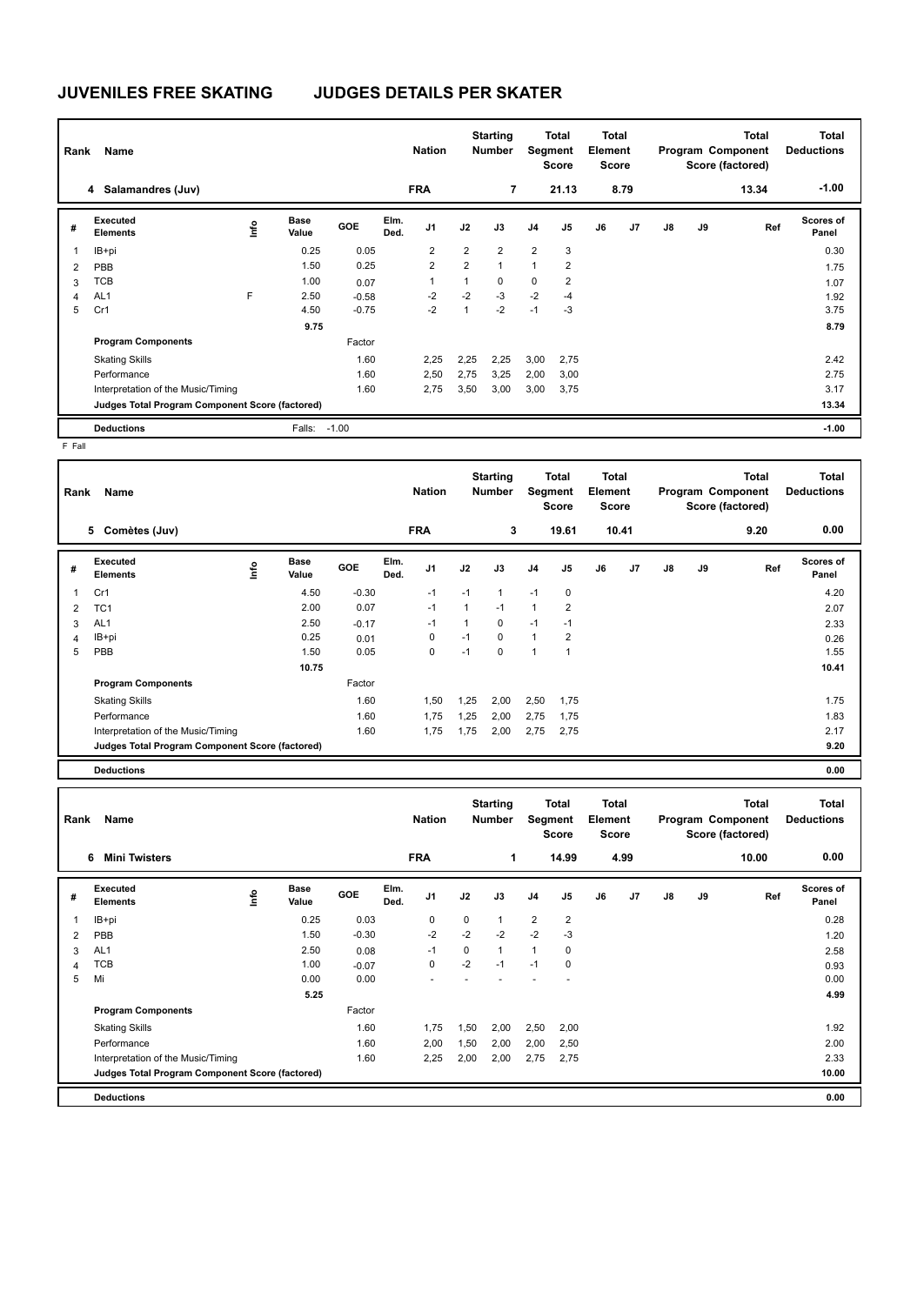# **JUVENILES FREE SKATING JUDGES DETAILS PER SKATER**

| Rank | Name                                            |   |                      |            |              | <b>Nation</b>  |                | <b>Starting</b><br><b>Number</b> | Segment        | <b>Total</b><br><b>Score</b> | Total<br>Element<br><b>Score</b> |      |    |    | <b>Total</b><br>Program Component<br>Score (factored) | <b>Total</b><br><b>Deductions</b> |
|------|-------------------------------------------------|---|----------------------|------------|--------------|----------------|----------------|----------------------------------|----------------|------------------------------|----------------------------------|------|----|----|-------------------------------------------------------|-----------------------------------|
|      | 4 Salamandres (Juv)                             |   |                      |            |              | <b>FRA</b>     |                | $\overline{7}$                   |                | 21.13                        |                                  | 8.79 |    |    | 13.34                                                 | $-1.00$                           |
| #    | Executed<br><b>Elements</b>                     | 울 | <b>Base</b><br>Value | <b>GOE</b> | Elm.<br>Ded. | J <sub>1</sub> | J2             | J3                               | J <sub>4</sub> | J <sub>5</sub>               | J6                               | J7   | J8 | J9 | Ref                                                   | Scores of<br>Panel                |
| 1    | IB+pi                                           |   | 0.25                 | 0.05       |              | $\overline{2}$ | $\overline{2}$ | $\overline{2}$                   | $\overline{2}$ | 3                            |                                  |      |    |    |                                                       | 0.30                              |
| 2    | PBB                                             |   | 1.50                 | 0.25       |              | $\overline{2}$ | $\overline{2}$ | 1                                | $\overline{ }$ | 2                            |                                  |      |    |    |                                                       | 1.75                              |
| 3    | TCB                                             |   | 1.00                 | 0.07       |              | 1              | 1              | 0                                | 0              | 2                            |                                  |      |    |    |                                                       | 1.07                              |
| 4    | AL <sub>1</sub>                                 | F | 2.50                 | $-0.58$    |              | $-2$           | $-2$           | $-3$                             | $-2$           | $-4$                         |                                  |      |    |    |                                                       | 1.92                              |
| 5    | Cr1                                             |   | 4.50                 | $-0.75$    |              | $-2$           | $\overline{1}$ | $-2$                             | $-1$           | $-3$                         |                                  |      |    |    |                                                       | 3.75                              |
|      |                                                 |   | 9.75                 |            |              |                |                |                                  |                |                              |                                  |      |    |    |                                                       | 8.79                              |
|      | <b>Program Components</b>                       |   |                      | Factor     |              |                |                |                                  |                |                              |                                  |      |    |    |                                                       |                                   |
|      | <b>Skating Skills</b>                           |   |                      | 1.60       |              | 2,25           | 2,25           | 2,25                             | 3,00           | 2,75                         |                                  |      |    |    |                                                       | 2.42                              |
|      | Performance                                     |   |                      | 1.60       |              | 2,50           | 2,75           | 3,25                             | 2,00           | 3,00                         |                                  |      |    |    |                                                       | 2.75                              |
|      | Interpretation of the Music/Timing              |   |                      | 1.60       |              | 2,75           | 3,50           | 3,00                             | 3,00           | 3,75                         |                                  |      |    |    |                                                       | 3.17                              |
|      | Judges Total Program Component Score (factored) |   |                      |            |              |                |                |                                  |                |                              |                                  |      |    |    |                                                       | 13.34                             |
|      | <b>Deductions</b>                               |   | Falls:               | $-1.00$    |              |                |                |                                  |                |                              |                                  |      |    |    |                                                       | $-1.00$                           |

F Fall

| Rank | Name                                            |   |                      |            |              | <b>Nation</b>  |      | <b>Starting</b><br>Number | Segment        | Total<br><b>Score</b> | <b>Total</b><br>Element<br><b>Score</b> |       |               |    | <b>Total</b><br>Program Component<br>Score (factored) | <b>Total</b><br><b>Deductions</b> |
|------|-------------------------------------------------|---|----------------------|------------|--------------|----------------|------|---------------------------|----------------|-----------------------|-----------------------------------------|-------|---------------|----|-------------------------------------------------------|-----------------------------------|
|      | Comètes (Juv)<br>5                              |   |                      |            |              | <b>FRA</b>     |      | 3                         |                | 19.61                 |                                         | 10.41 |               |    | 9.20                                                  | 0.00                              |
| #    | Executed<br><b>Elements</b>                     | ۴ | <b>Base</b><br>Value | <b>GOE</b> | Elm.<br>Ded. | J <sub>1</sub> | J2   | J3                        | J <sub>4</sub> | J5                    | J6                                      | J7    | $\mathsf{J}8$ | J9 | Ref                                                   | <b>Scores of</b><br>Panel         |
| 1    | Cr1                                             |   | 4.50                 | $-0.30$    |              | $-1$           | $-1$ | 1                         | $-1$           | 0                     |                                         |       |               |    |                                                       | 4.20                              |
| 2    | TC <sub>1</sub>                                 |   | 2.00                 | 0.07       |              | $-1$           | 1    | $-1$                      | $\mathbf{1}$   | 2                     |                                         |       |               |    |                                                       | 2.07                              |
| 3    | AL <sub>1</sub>                                 |   | 2.50                 | $-0.17$    |              | $-1$           |      | 0                         | $-1$           | $-1$                  |                                         |       |               |    |                                                       | 2.33                              |
| 4    | IB+pi                                           |   | 0.25                 | 0.01       |              | 0              | $-1$ | 0                         | $\mathbf{1}$   | $\overline{2}$        |                                         |       |               |    |                                                       | 0.26                              |
| 5    | PBB                                             |   | 1.50                 | 0.05       |              | 0              | $-1$ | 0                         | $\overline{1}$ | -1                    |                                         |       |               |    |                                                       | 1.55                              |
|      |                                                 |   | 10.75                |            |              |                |      |                           |                |                       |                                         |       |               |    |                                                       | 10.41                             |
|      | <b>Program Components</b>                       |   |                      | Factor     |              |                |      |                           |                |                       |                                         |       |               |    |                                                       |                                   |
|      | <b>Skating Skills</b>                           |   |                      | 1.60       |              | 1,50           | 1,25 | 2,00                      | 2,50           | 1,75                  |                                         |       |               |    |                                                       | 1.75                              |
|      | Performance                                     |   |                      | 1.60       |              | 1,75           | 1,25 | 2,00                      | 2,75           | 1,75                  |                                         |       |               |    |                                                       | 1.83                              |
|      | Interpretation of the Music/Timing              |   |                      | 1.60       |              | 1,75           | 1,75 | 2,00                      | 2,75           | 2,75                  |                                         |       |               |    |                                                       | 2.17                              |
|      | Judges Total Program Component Score (factored) |   |                      |            |              |                |      |                           |                |                       |                                         |       |               |    |                                                       | 9.20                              |
|      | <b>Deductions</b>                               |   |                      |            |              |                |      |                           |                |                       |                                         |       |               |    |                                                       | 0.00                              |

| Rank<br>Name   |                                                 |    |               |            |              | <b>Nation</b>  |      | <b>Starting</b><br><b>Number</b> |                | Total<br>Segment<br><b>Score</b> |    | <b>Total</b><br>Element<br><b>Score</b> |               | Program Component<br>Score (factored) | <b>Total</b><br><b>Deductions</b> |                           |
|----------------|-------------------------------------------------|----|---------------|------------|--------------|----------------|------|----------------------------------|----------------|----------------------------------|----|-----------------------------------------|---------------|---------------------------------------|-----------------------------------|---------------------------|
|                | <b>Mini Twisters</b><br>6                       |    |               |            |              | <b>FRA</b>     |      | 1                                |                | 14.99                            |    | 4.99                                    |               |                                       | 10.00                             | 0.00                      |
| #              | Executed<br><b>Elements</b>                     | ۴ů | Base<br>Value | <b>GOE</b> | Elm.<br>Ded. | J <sub>1</sub> | J2   | J3                               | J <sub>4</sub> | J <sub>5</sub>                   | J6 | J7                                      | $\mathsf{J}8$ | J9                                    | Ref                               | <b>Scores of</b><br>Panel |
|                | IB+pi                                           |    | 0.25          | 0.03       |              | $\mathbf 0$    | 0    | 1                                | $\overline{2}$ | $\overline{2}$                   |    |                                         |               |                                       |                                   | 0.28                      |
| $\overline{2}$ | PBB                                             |    | 1.50          | $-0.30$    |              | $-2$           | $-2$ | $-2$                             | $-2$           | $-3$                             |    |                                         |               |                                       |                                   | 1.20                      |
| 3              | AL <sub>1</sub>                                 |    | 2.50          | 0.08       |              | -1             | 0    | $\overline{1}$                   | 1              | 0                                |    |                                         |               |                                       |                                   | 2.58                      |
| 4              | <b>TCB</b>                                      |    | 1.00          | $-0.07$    |              | $\mathbf 0$    | $-2$ | $-1$                             | $-1$           | 0                                |    |                                         |               |                                       |                                   | 0.93                      |
| 5              | Mi                                              |    | 0.00          | 0.00       |              |                |      |                                  |                |                                  |    |                                         |               |                                       |                                   | 0.00                      |
|                |                                                 |    | 5.25          |            |              |                |      |                                  |                |                                  |    |                                         |               |                                       |                                   | 4.99                      |
|                | <b>Program Components</b>                       |    |               | Factor     |              |                |      |                                  |                |                                  |    |                                         |               |                                       |                                   |                           |
|                | <b>Skating Skills</b>                           |    |               | 1.60       |              | 1,75           | 1,50 | 2,00                             | 2,50           | 2,00                             |    |                                         |               |                                       |                                   | 1.92                      |
|                | Performance                                     |    |               | 1.60       |              | 2,00           | 1,50 | 2,00                             | 2,00           | 2,50                             |    |                                         |               |                                       |                                   | 2.00                      |
|                | Interpretation of the Music/Timing              |    |               | 1.60       |              | 2,25           | 2,00 | 2,00                             | 2,75           | 2,75                             |    |                                         |               |                                       |                                   | 2.33                      |
|                | Judges Total Program Component Score (factored) |    |               |            |              |                |      |                                  |                |                                  |    |                                         |               |                                       |                                   | 10.00                     |
|                | <b>Deductions</b>                               |    |               |            |              |                |      |                                  |                |                                  |    |                                         |               |                                       |                                   | 0.00                      |

٦